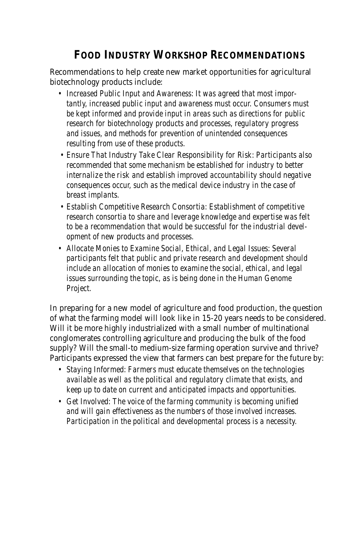# **FOOD INDUSTRY WORKSHOP RECOMMENDATIONS**

Recommendations to help create new market opportunities for agricultural biotechnology products include:

- *Increased Public Input and Awareness: It was agreed that most importantly, increased public input and awareness must occur. Consumers must be kept informed and provide input in areas such as directions for public research for biotechnology products and processes, regulatory progress and issues, and methods for prevention of unintended consequences resulting from use of these products.*
- *Ensure That Industry Take Clear Responsibility for Risk: Participants also recommended that some mechanism be established for industry to better internalize the risk and establish improved accountability should negative consequences occur, such as the medical device industry in the case of breast implants.*
- *Establish Competitive Research Consortia: Establishment of competitive research consortia to share and leverage knowledge and expertise was felt to be a recommendation that would be successful for the industrial development of new products and processes.*
- *Allocate Monies to Examine Social, Ethical, and Legal Issues: Several participants felt that public and private research and development should include an allocation of monies to examine the social, ethical, and legal issues surrounding the topic, as is being done in the Human Genome Project.*

In preparing for a new model of agriculture and food production, the question of what the farming model will look like in 15-20 years needs to be considered. Will it be more highly industrialized with a small number of multinational conglomerates controlling agriculture and producing the bulk of the food supply? Will the small-to medium-size farming operation survive and thrive? Participants expressed the view that farmers can best prepare for the future by:

- *Staying Informed: Farmers must educate themselves on the technologies available as well as the political and regulatory climate that exists, and keep up to date on current and anticipated impacts and opportunities.*
- *Get Involved: The voice of the farming community is becoming unified and will gain effectiveness as the numbers of those involved increases. Participation in the political and developmental process is a necessity.*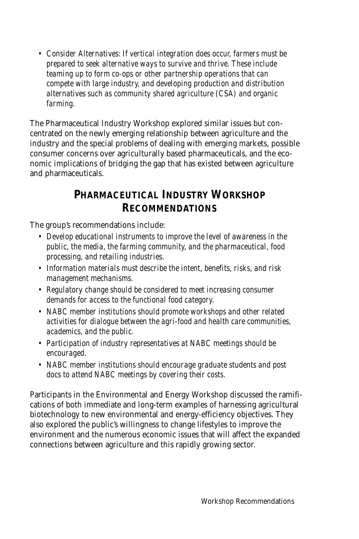*• Consider Alternatives: If vertical integration does occur, farmers must be prepared to seek alternative ways to survive and thrive. These include teaming up to form co-ops or other partnership operations that can compete with large industry, and developing production and distribution alternatives such as community shared agriculture (CSA) and organic farming.*

The Pharmaceutical Industry Workshop explored similar issues but concentrated on the newly emerging relationship between agriculture and the industry and the special problems of dealing with emerging markets, possible consumer concerns over agriculturally based pharmaceuticals, and the economic implications of bridging the gap that has existed between agriculture and pharmaceuticals.

# **PHARMACEUTICAL INDUSTRY WORKSHOP RECOMMENDATIONS**

The group's recommendations include:

- *Develop educational instruments to improve the level of awareness in the public, the media, the farming community, and the pharmaceutical, food processing, and retailing industries.*
- *Information materials must describe the intent, benefits, risks, and risk management mechanisms.*
- *Regulatory change should be considered to meet increasing consumer demands for access to the functional food category.*
- *NABC member institutions should promote workshops and other related activities for dialogue between the agri-food and health care communities, academics, and the public.*
- *Participation of industry representatives at NABC meetings should be encouraged.*
- *NABC member institutions should encourage graduate students and post docs to attend NABC meetings by covering their costs.*

Participants in the Environmental and Energy Workshop discussed the ramifications of both immediate and long-term examples of harnessing agricultural biotechnology to new environmental and energy-efficiency objectives. They also explored the public's willingness to change lifestyles to improve the environment and the numerous economic issues that will affect the expanded connections between agriculture and this rapidly growing sector.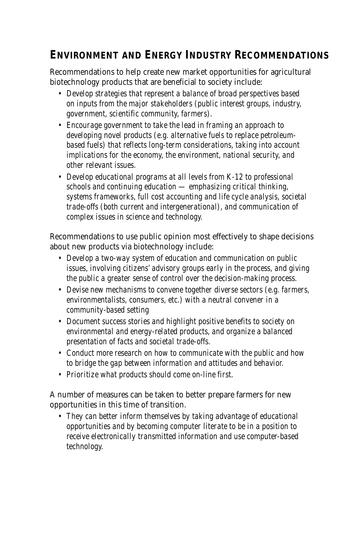## **ENVIRONMENT AND ENERGY INDUSTRY RECOMMENDATIONS**

Recommendations to help create new market opportunities for agricultural biotechnology products that are beneficial to society include:

- *Develop strategies that represent a balance of broad perspectives based on inputs from the major stakeholders (public interest groups, industry, government, scientific community, farmers).*
- *Encourage government to take the lead in framing an approach to developing novel products (e.g. alternative fuels to replace petroleumbased fuels) that reflects long-term considerations, taking into account implications for the economy, the environment, national security, and other relevant issues.*
- *Develop educational programs at all levels from K-12 to professional schools and continuing education — emphasizing critical thinking, systems frameworks, full cost accounting and life cycle analysis, societal trade-offs (both current and intergenerational), and communication of complex issues in science and technology.*

Recommendations to use public opinion most effectively to shape decisions about new products via biotechnology include:

- *Develop a two-way system of education and communication on public issues, involving citizens' advisory groups early in the process, and giving the public a greater sense of control over the decision-making process.*
- *Devise new mechanisms to convene together diverse sectors (e.g. farmers, environmentalists, consumers, etc.) with a neutral convener in a community-based setting*
- *Document success stories and highlight positive benefits to society on environmental and energy-related products, and organize a balanced presentation of facts and societal trade-offs.*
- *Conduct more research on how to communicate with the public and how to bridge the gap between information and attitudes and behavior.*
- *Prioritize what products should come on-line first.*

### A number of measures can be taken to better prepare farmers for new opportunities in this time of transition.

*• They can better inform themselves by taking advantage of educational opportunities and by becoming computer literate to be in a position to receive electronically transmitted information and use computer-based technology.*